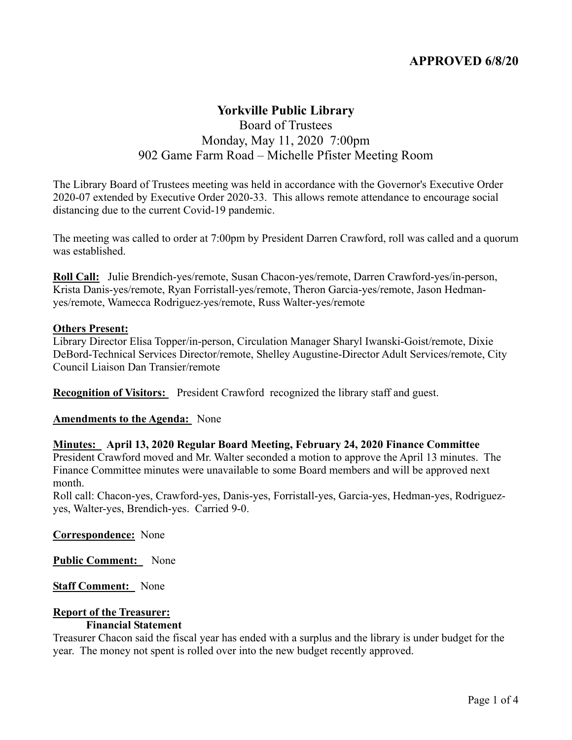# **APPROVED 6/8/20**

# **Yorkville Public Library** Board of Trustees Monday, May 11, 2020 7:00pm 902 Game Farm Road – Michelle Pfister Meeting Room

The Library Board of Trustees meeting was held in accordance with the Governor's Executive Order 2020-07 extended by Executive Order 2020-33. This allows remote attendance to encourage social distancing due to the current Covid-19 pandemic.

The meeting was called to order at 7:00pm by President Darren Crawford, roll was called and a quorum was established.

**Roll Call:** Julie Brendich-yes/remote, Susan Chacon-yes/remote, Darren Crawford-yes/in-person, Krista Danis-yes/remote, Ryan Forristall-yes/remote, Theron Garcia-yes/remote, Jason Hedmanyes/remote, Wamecca Rodriguez-yes/remote, Russ Walter-yes/remote

#### **Others Present:**

Library Director Elisa Topper/in-person, Circulation Manager Sharyl Iwanski-Goist/remote, Dixie DeBord-Technical Services Director/remote, Shelley Augustine-Director Adult Services/remote, City Council Liaison Dan Transier/remote

**Recognition of Visitors:** President Crawford recognized the library staff and guest.

#### **Amendments to the Agenda:** None

**Minutes: April 13, 2020 Regular Board Meeting, February 24, 2020 Finance Committee**  President Crawford moved and Mr. Walter seconded a motion to approve the April 13 minutes. The Finance Committee minutes were unavailable to some Board members and will be approved next month.

Roll call: Chacon-yes, Crawford-yes, Danis-yes, Forristall-yes, Garcia-yes, Hedman-yes, Rodriguezyes, Walter-yes, Brendich-yes. Carried 9-0.

#### **Correspondence:** None

**Public Comment:** None

**Staff Comment:** None

## **Report of the Treasurer:**

#### **Financial Statement**

Treasurer Chacon said the fiscal year has ended with a surplus and the library is under budget for the year. The money not spent is rolled over into the new budget recently approved.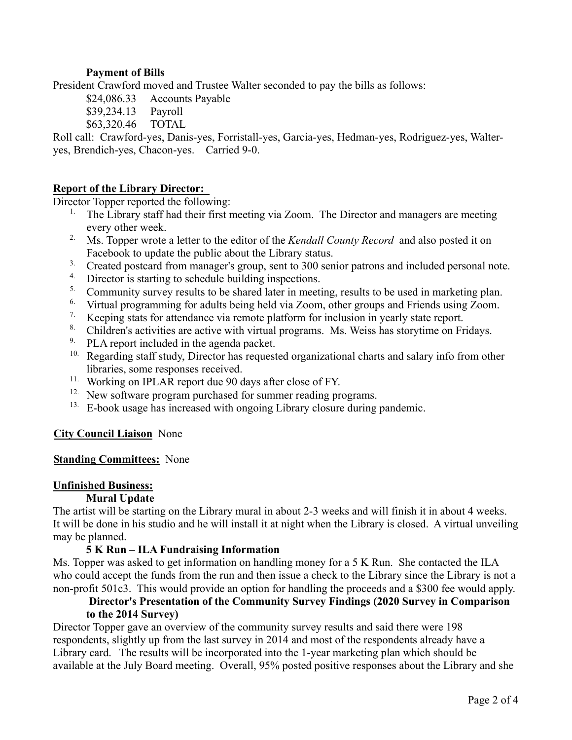# **Payment of Bills**

President Crawford moved and Trustee Walter seconded to pay the bills as follows:

\$24,086.33 Accounts Payable

\$39,234.13 Payroll

\$63,320.46 TOTAL

Roll call: Crawford-yes, Danis-yes, Forristall-yes, Garcia-yes, Hedman-yes, Rodriguez-yes, Walteryes, Brendich-yes, Chacon-yes. Carried 9-0.

# **Report of the Library Director:**

Director Topper reported the following:

- <sup>1.</sup> The Library staff had their first meeting via Zoom. The Director and managers are meeting every other week.
- 2. Ms. Topper wrote a letter to the editor of the *Kendall County Record* and also posted it on Facebook to update the public about the Library status.
- <sup>3.</sup> Created postcard from manager's group, sent to 300 senior patrons and included personal note.
- <sup>4.</sup> Director is starting to schedule building inspections.
- <sup>5.</sup> Community survey results to be shared later in meeting, results to be used in marketing plan.
- <sup>6.</sup> Virtual programming for adults being held via Zoom, other groups and Friends using Zoom.
- <sup>7.</sup> Keeping stats for attendance via remote platform for inclusion in yearly state report.
- <sup>8.</sup> Children's activities are active with virtual programs. Ms. Weiss has storytime on Fridays.
- <sup>9.</sup> PLA report included in the agenda packet.
- <sup>10.</sup> Regarding staff study, Director has requested organizational charts and salary info from other libraries, some responses received.
- <sup>11.</sup> Working on IPLAR report due 90 days after close of FY.
- <sup>12.</sup> New software program purchased for summer reading programs.
- <sup>13.</sup> E-book usage has increased with ongoing Library closure during pandemic.

# **City Council Liaison** None

## **Standing Committees:** None

## **Unfinished Business:**

# **Mural Update**

The artist will be starting on the Library mural in about 2-3 weeks and will finish it in about 4 weeks. It will be done in his studio and he will install it at night when the Library is closed. A virtual unveiling may be planned.

# **5 K Run – ILA Fundraising Information**

Ms. Topper was asked to get information on handling money for a 5 K Run. She contacted the ILA who could accept the funds from the run and then issue a check to the Library since the Library is not a non-profit 501c3. This would provide an option for handling the proceeds and a \$300 fee would apply.

# **Director's Presentation of the Community Survey Findings (2020 Survey in Comparison to the 2014 Survey)**

Director Topper gave an overview of the community survey results and said there were 198 respondents, slightly up from the last survey in 2014 and most of the respondents already have a Library card. The results will be incorporated into the 1-year marketing plan which should be available at the July Board meeting. Overall, 95% posted positive responses about the Library and she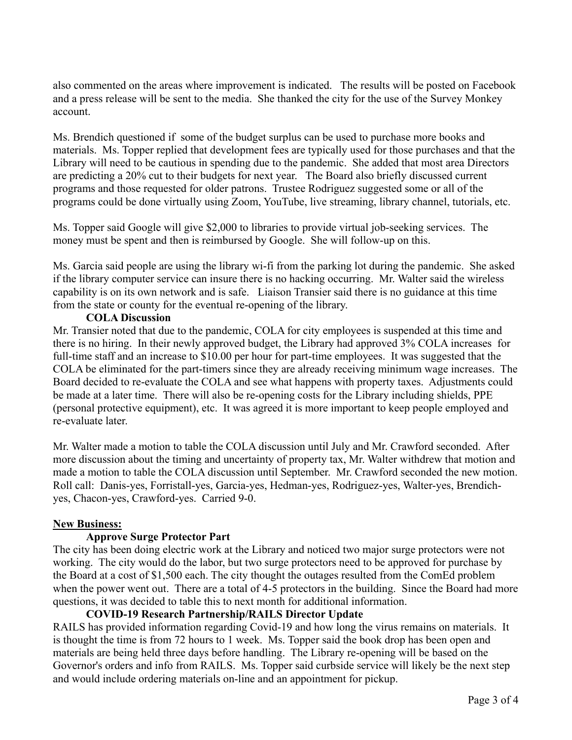also commented on the areas where improvement is indicated. The results will be posted on Facebook and a press release will be sent to the media. She thanked the city for the use of the Survey Monkey account.

Ms. Brendich questioned if some of the budget surplus can be used to purchase more books and materials. Ms. Topper replied that development fees are typically used for those purchases and that the Library will need to be cautious in spending due to the pandemic. She added that most area Directors are predicting a 20% cut to their budgets for next year. The Board also briefly discussed current programs and those requested for older patrons. Trustee Rodriguez suggested some or all of the programs could be done virtually using Zoom, YouTube, live streaming, library channel, tutorials, etc.

Ms. Topper said Google will give \$2,000 to libraries to provide virtual job-seeking services. The money must be spent and then is reimbursed by Google. She will follow-up on this.

Ms. Garcia said people are using the library wi-fi from the parking lot during the pandemic. She asked if the library computer service can insure there is no hacking occurring. Mr. Walter said the wireless capability is on its own network and is safe. Liaison Transier said there is no guidance at this time from the state or county for the eventual re-opening of the library.

## **COLA Discussion**

Mr. Transier noted that due to the pandemic, COLA for city employees is suspended at this time and there is no hiring. In their newly approved budget, the Library had approved 3% COLA increases for full-time staff and an increase to \$10.00 per hour for part-time employees. It was suggested that the COLA be eliminated for the part-timers since they are already receiving minimum wage increases. The Board decided to re-evaluate the COLA and see what happens with property taxes. Adjustments could be made at a later time. There will also be re-opening costs for the Library including shields, PPE (personal protective equipment), etc. It was agreed it is more important to keep people employed and re-evaluate later.

Mr. Walter made a motion to table the COLA discussion until July and Mr. Crawford seconded. After more discussion about the timing and uncertainty of property tax, Mr. Walter withdrew that motion and made a motion to table the COLA discussion until September. Mr. Crawford seconded the new motion. Roll call: Danis-yes, Forristall-yes, Garcia-yes, Hedman-yes, Rodriguez-yes, Walter-yes, Brendichyes, Chacon-yes, Crawford-yes. Carried 9-0.

## **New Business:**

## **Approve Surge Protector Part**

The city has been doing electric work at the Library and noticed two major surge protectors were not working. The city would do the labor, but two surge protectors need to be approved for purchase by the Board at a cost of \$1,500 each. The city thought the outages resulted from the ComEd problem when the power went out. There are a total of 4-5 protectors in the building. Since the Board had more questions, it was decided to table this to next month for additional information.

## **COVID-19 Research Partnership/RAILS Director Update**

RAILS has provided information regarding Covid-19 and how long the virus remains on materials. It is thought the time is from 72 hours to 1 week. Ms. Topper said the book drop has been open and materials are being held three days before handling. The Library re-opening will be based on the Governor's orders and info from RAILS. Ms. Topper said curbside service will likely be the next step and would include ordering materials on-line and an appointment for pickup.